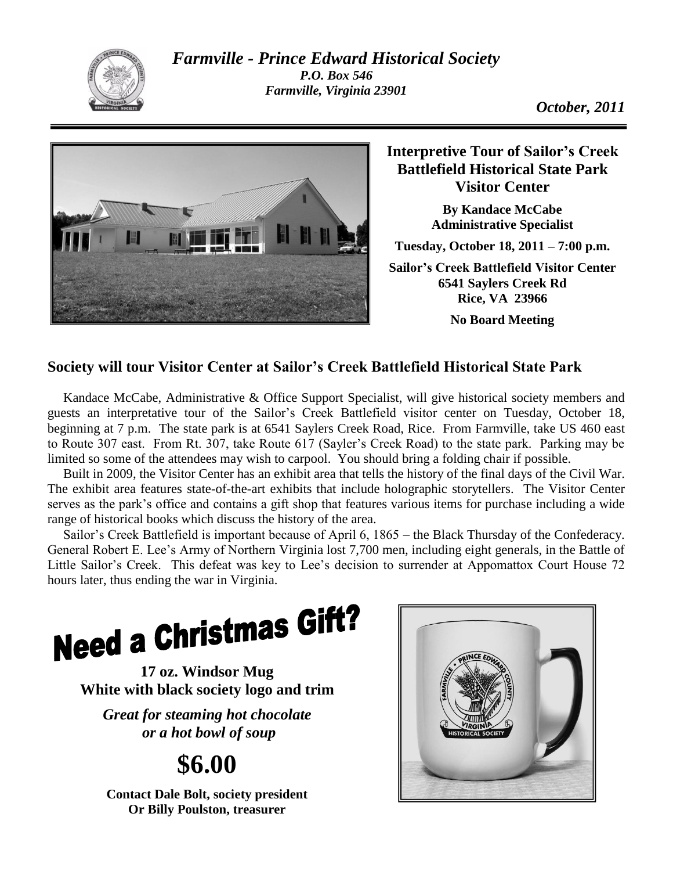

*Farmville - Prince Edward Historical Society P.O. Box 546 Farmville, Virginia 23901*



**Interpretive Tour of Sailor's Creek Battlefield Historical State Park Visitor Center**

> **By Kandace McCabe Administrative Specialist**

**Tuesday, October 18, 2011 – 7:00 p.m.**

**Sailor's Creek Battlefield Visitor Center 6541 Saylers Creek Rd Rice, VA 23966 No Board Meeting**

## **Society will tour Visitor Center at Sailor's Creek Battlefield Historical State Park**

Kandace McCabe, Administrative & Office Support Specialist, will give historical society members and guests an interpretative tour of the Sailor's Creek Battlefield visitor center on Tuesday, October 18, beginning at 7 p.m. The state park is at 6541 Saylers Creek Road, Rice. From Farmville, take US 460 east to Route 307 east. From Rt. 307, take Route 617 (Sayler's Creek Road) to the state park. Parking may be limited so some of the attendees may wish to carpool. You should bring a folding chair if possible.

Built in 2009, the Visitor Center has an exhibit area that tells the history of the final days of the Civil War. The exhibit area features state-of-the-art exhibits that include holographic storytellers. The Visitor Center serves as the park's office and contains a gift shop that features various items for purchase including a wide range of historical books which discuss the history of the area.

Sailor's Creek Battlefield is important because of April 6, 1865 – the Black Thursday of the Confederacy. General Robert E. Lee's Army of Northern Virginia lost 7,700 men, including eight generals, in the Battle of Little Sailor's Creek. This defeat was key to Lee's decision to surrender at Appomattox Court House 72 hours later, thus ending the war in Virginia.

**Need a Christmas Gift?** 

**17 oz. Windsor Mug White with black society logo and trim**

*Great for steaming hot chocolate or a hot bowl of soup*

# **\$6.00**

**Contact Dale Bolt, society president Or Billy Poulston, treasurer**